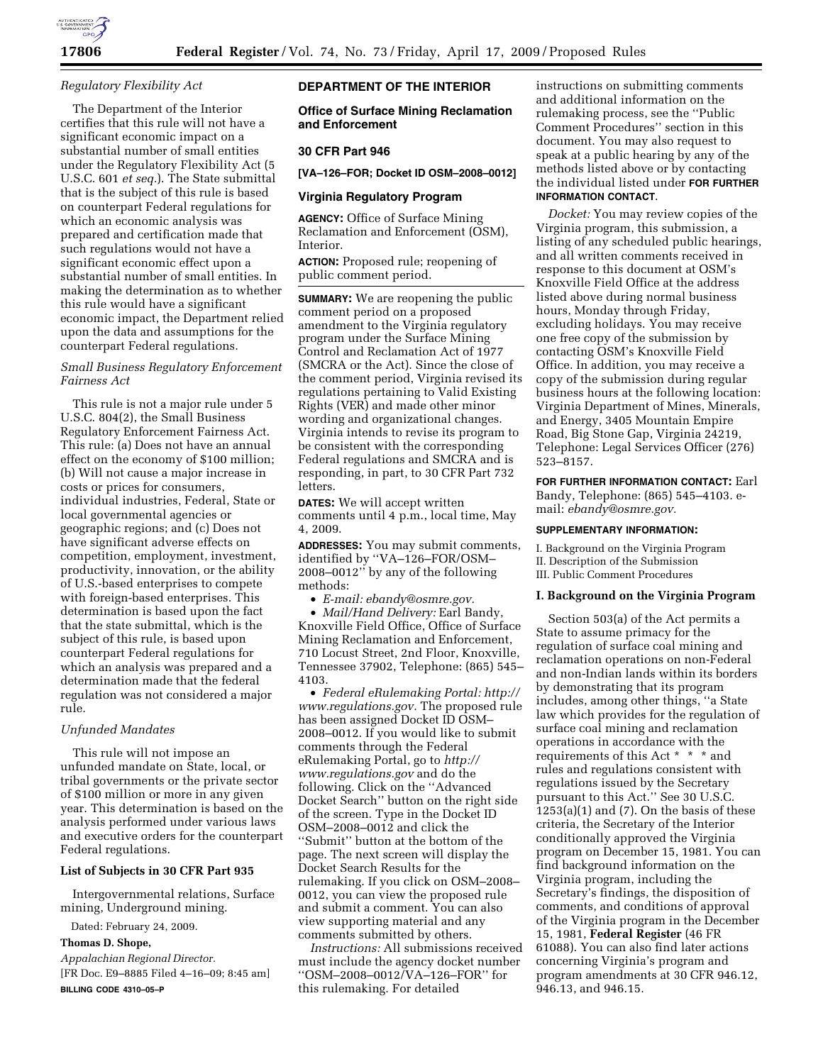

#### *Regulatory Flexibility Act*

The Department of the Interior certifies that this rule will not have a significant economic impact on a substantial number of small entities under the Regulatory Flexibility Act (5 U.S.C. 601 *et seq.*). The State submittal that is the subject of this rule is based on counterpart Federal regulations for which an economic analysis was prepared and certification made that such regulations would not have a significant economic effect upon a substantial number of small entities. In making the determination as to whether this rule would have a significant economic impact, the Department relied upon the data and assumptions for the counterpart Federal regulations.

# *Small Business Regulatory Enforcement Fairness Act*

This rule is not a major rule under 5 U.S.C. 804(2), the Small Business Regulatory Enforcement Fairness Act. This rule: (a) Does not have an annual effect on the economy of \$100 million; (b) Will not cause a major increase in costs or prices for consumers, individual industries, Federal, State or local governmental agencies or geographic regions; and (c) Does not have significant adverse effects on competition, employment, investment, productivity, innovation, or the ability of U.S.-based enterprises to compete with foreign-based enterprises. This determination is based upon the fact that the state submittal, which is the subject of this rule, is based upon counterpart Federal regulations for which an analysis was prepared and a determination made that the federal regulation was not considered a major rule.

#### *Unfunded Mandates*

This rule will not impose an unfunded mandate on State, local, or tribal governments or the private sector of \$100 million or more in any given year. This determination is based on the analysis performed under various laws and executive orders for the counterpart Federal regulations.

# **List of Subjects in 30 CFR Part 935**

Intergovernmental relations, Surface mining, Underground mining.

Dated: February 24, 2009.

# **Thomas D. Shope,**

*Appalachian Regional Director.*  [FR Doc. E9–8885 Filed 4–16–09; 8:45 am] **BILLING CODE 4310–05–P** 

# **DEPARTMENT OF THE INTERIOR**

**Office of Surface Mining Reclamation and Enforcement** 

# **30 CFR Part 946**

**[VA–126–FOR; Docket ID OSM–2008–0012]** 

## **Virginia Regulatory Program**

**AGENCY:** Office of Surface Mining Reclamation and Enforcement (OSM), Interior.

**ACTION:** Proposed rule; reopening of public comment period.

**SUMMARY:** We are reopening the public comment period on a proposed amendment to the Virginia regulatory program under the Surface Mining Control and Reclamation Act of 1977 (SMCRA or the Act). Since the close of the comment period, Virginia revised its regulations pertaining to Valid Existing Rights (VER) and made other minor wording and organizational changes. Virginia intends to revise its program to be consistent with the corresponding Federal regulations and SMCRA and is responding, in part, to 30 CFR Part 732 letters.

**DATES:** We will accept written comments until 4 p.m., local time, May 4, 2009.

**ADDRESSES:** You may submit comments, identified by ''VA–126–FOR/OSM– 2008–0012'' by any of the following methods:

• *E-mail: ebandy@osmre.gov.* 

• *Mail/Hand Delivery:* Earl Bandy, Knoxville Field Office, Office of Surface Mining Reclamation and Enforcement, 710 Locust Street, 2nd Floor, Knoxville, Tennessee 37902, Telephone: (865) 545– 4103.

• *Federal eRulemaking Portal: http:// www.regulations.gov.* The proposed rule has been assigned Docket ID OSM– 2008–0012. If you would like to submit comments through the Federal eRulemaking Portal, go to *http:// www.regulations.gov* and do the following. Click on the ''Advanced Docket Search'' button on the right side of the screen. Type in the Docket ID OSM–2008–0012 and click the ''Submit'' button at the bottom of the page. The next screen will display the Docket Search Results for the rulemaking. If you click on OSM–2008– 0012, you can view the proposed rule and submit a comment. You can also view supporting material and any comments submitted by others.

*Instructions:* All submissions received must include the agency docket number ''OSM–2008–0012/VA–126–FOR'' for this rulemaking. For detailed

instructions on submitting comments and additional information on the rulemaking process, see the ''Public Comment Procedures'' section in this document. You may also request to speak at a public hearing by any of the methods listed above or by contacting the individual listed under **FOR FURTHER INFORMATION CONTACT**.

*Docket:* You may review copies of the Virginia program, this submission, a listing of any scheduled public hearings, and all written comments received in response to this document at OSM's Knoxville Field Office at the address listed above during normal business hours, Monday through Friday, excluding holidays. You may receive one free copy of the submission by contacting OSM's Knoxville Field Office. In addition, you may receive a copy of the submission during regular business hours at the following location: Virginia Department of Mines, Minerals, and Energy, 3405 Mountain Empire Road, Big Stone Gap, Virginia 24219, Telephone: Legal Services Officer (276) 523–8157.

**FOR FURTHER INFORMATION CONTACT:** Earl Bandy, Telephone: (865) 545–4103. email: *ebandy@osmre.gov.* 

#### **SUPPLEMENTARY INFORMATION:**

I. Background on the Virginia Program II. Description of the Submission III. Public Comment Procedures

# **I. Background on the Virginia Program**

Section 503(a) of the Act permits a State to assume primacy for the regulation of surface coal mining and reclamation operations on non-Federal and non-Indian lands within its borders by demonstrating that its program includes, among other things, ''a State law which provides for the regulation of surface coal mining and reclamation operations in accordance with the requirements of this Act \* \* \* and rules and regulations consistent with regulations issued by the Secretary pursuant to this Act.'' See 30 U.S.C.  $1253(a)(1)$  and  $(7)$ . On the basis of these criteria, the Secretary of the Interior conditionally approved the Virginia program on December 15, 1981. You can find background information on the Virginia program, including the Secretary's findings, the disposition of comments, and conditions of approval of the Virginia program in the December 15, 1981, **Federal Register** (46 FR 61088). You can also find later actions concerning Virginia's program and program amendments at 30 CFR 946.12, 946.13, and 946.15.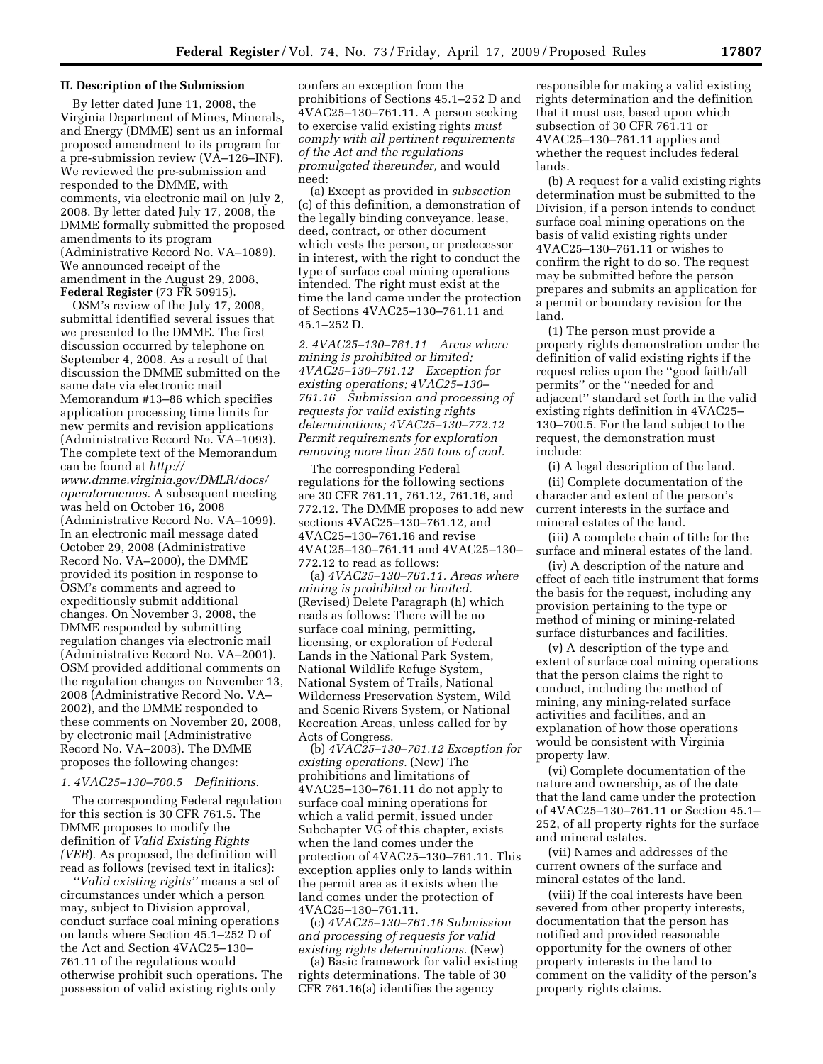#### **II. Description of the Submission**

By letter dated June 11, 2008, the Virginia Department of Mines, Minerals, and Energy (DMME) sent us an informal proposed amendment to its program for a pre-submission review (VA–126–INF). We reviewed the pre-submission and responded to the DMME, with comments, via electronic mail on July 2, 2008. By letter dated July 17, 2008, the DMME formally submitted the proposed amendments to its program (Administrative Record No. VA–1089). We announced receipt of the amendment in the August 29, 2008, **Federal Register** (73 FR 50915).

OSM's review of the July 17, 2008, submittal identified several issues that we presented to the DMME. The first discussion occurred by telephone on September 4, 2008. As a result of that discussion the DMME submitted on the same date via electronic mail Memorandum #13–86 which specifies application processing time limits for new permits and revision applications (Administrative Record No. VA–1093). The complete text of the Memorandum can be found at *http://* 

*www.dmme.virginia.gov/DMLR/docs/ operatormemos.* A subsequent meeting was held on October 16, 2008 (Administrative Record No. VA–1099). In an electronic mail message dated October 29, 2008 (Administrative Record No. VA–2000), the DMME provided its position in response to OSM's comments and agreed to expeditiously submit additional changes. On November 3, 2008, the DMME responded by submitting regulation changes via electronic mail (Administrative Record No. VA–2001). OSM provided additional comments on the regulation changes on November 13, 2008 (Administrative Record No. VA– 2002), and the DMME responded to these comments on November 20, 2008, by electronic mail (Administrative Record No. VA–2003). The DMME proposes the following changes:

## *1. 4VAC25–130–700.5 Definitions.*

The corresponding Federal regulation for this section is 30 CFR 761.5. The DMME proposes to modify the definition of *Valid Existing Rights (VER*). As proposed, the definition will read as follows (revised text in italics):

*''Valid existing rights''* means a set of circumstances under which a person may, subject to Division approval, conduct surface coal mining operations on lands where Section 45.1–252 D of the Act and Section 4VAC25–130– 761.11 of the regulations would otherwise prohibit such operations. The possession of valid existing rights only

confers an exception from the prohibitions of Sections 45.1–252 D and 4VAC25–130–761.11. A person seeking to exercise valid existing rights *must comply with all pertinent requirements of the Act and the regulations promulgated thereunder,* and would need:

(a) Except as provided in *subsection*  (c) of this definition, a demonstration of the legally binding conveyance, lease, deed, contract, or other document which vests the person, or predecessor in interest, with the right to conduct the type of surface coal mining operations intended. The right must exist at the time the land came under the protection of Sections 4VAC25–130–761.11 and 45.1–252 D.

*2. 4VAC25–130–761.11 Areas where mining is prohibited or limited; 4VAC25–130–761.12 Exception for existing operations; 4VAC25–130– 761.16 Submission and processing of requests for valid existing rights determinations; 4VAC25–130–772.12 Permit requirements for exploration removing more than 250 tons of coal.* 

The corresponding Federal regulations for the following sections are 30 CFR 761.11, 761.12, 761.16, and 772.12. The DMME proposes to add new sections 4VAC25–130–761.12, and 4VAC25–130–761.16 and revise 4VAC25–130–761.11 and 4VAC25–130– 772.12 to read as follows:

(a) *4VAC25–130–761.11. Areas where mining is prohibited or limited.*  (Revised) Delete Paragraph (h) which reads as follows: There will be no surface coal mining, permitting, licensing, or exploration of Federal Lands in the National Park System, National Wildlife Refuge System, National System of Trails, National Wilderness Preservation System, Wild and Scenic Rivers System, or National Recreation Areas, unless called for by Acts of Congress.

(b) *4VAC25–130–761.12 Exception for existing operations.* (New) The prohibitions and limitations of 4VAC25–130–761.11 do not apply to surface coal mining operations for which a valid permit, issued under Subchapter VG of this chapter, exists when the land comes under the protection of 4VAC25–130–761.11. This exception applies only to lands within the permit area as it exists when the land comes under the protection of 4VAC25–130–761.11.

(c) *4VAC25–130–761.16 Submission and processing of requests for valid existing rights determinations.* (New)

(a) Basic framework for valid existing rights determinations. The table of 30 CFR 761.16(a) identifies the agency

responsible for making a valid existing rights determination and the definition that it must use, based upon which subsection of 30 CFR 761.11 or 4VAC25–130–761.11 applies and whether the request includes federal lands.

(b) A request for a valid existing rights determination must be submitted to the Division, if a person intends to conduct surface coal mining operations on the basis of valid existing rights under 4VAC25–130–761.11 or wishes to confirm the right to do so. The request may be submitted before the person prepares and submits an application for a permit or boundary revision for the land.

(1) The person must provide a property rights demonstration under the definition of valid existing rights if the request relies upon the ''good faith/all permits'' or the ''needed for and adjacent'' standard set forth in the valid existing rights definition in 4VAC25– 130–700.5. For the land subject to the request, the demonstration must include:

(i) A legal description of the land. (ii) Complete documentation of the character and extent of the person's current interests in the surface and mineral estates of the land.

(iii) A complete chain of title for the surface and mineral estates of the land.

(iv) A description of the nature and effect of each title instrument that forms the basis for the request, including any provision pertaining to the type or method of mining or mining-related surface disturbances and facilities.

(v) A description of the type and extent of surface coal mining operations that the person claims the right to conduct, including the method of mining, any mining-related surface activities and facilities, and an explanation of how those operations would be consistent with Virginia property law.

(vi) Complete documentation of the nature and ownership, as of the date that the land came under the protection of 4VAC25–130–761.11 or Section 45.1– 252, of all property rights for the surface and mineral estates.

(vii) Names and addresses of the current owners of the surface and mineral estates of the land.

(viii) If the coal interests have been severed from other property interests, documentation that the person has notified and provided reasonable opportunity for the owners of other property interests in the land to comment on the validity of the person's property rights claims.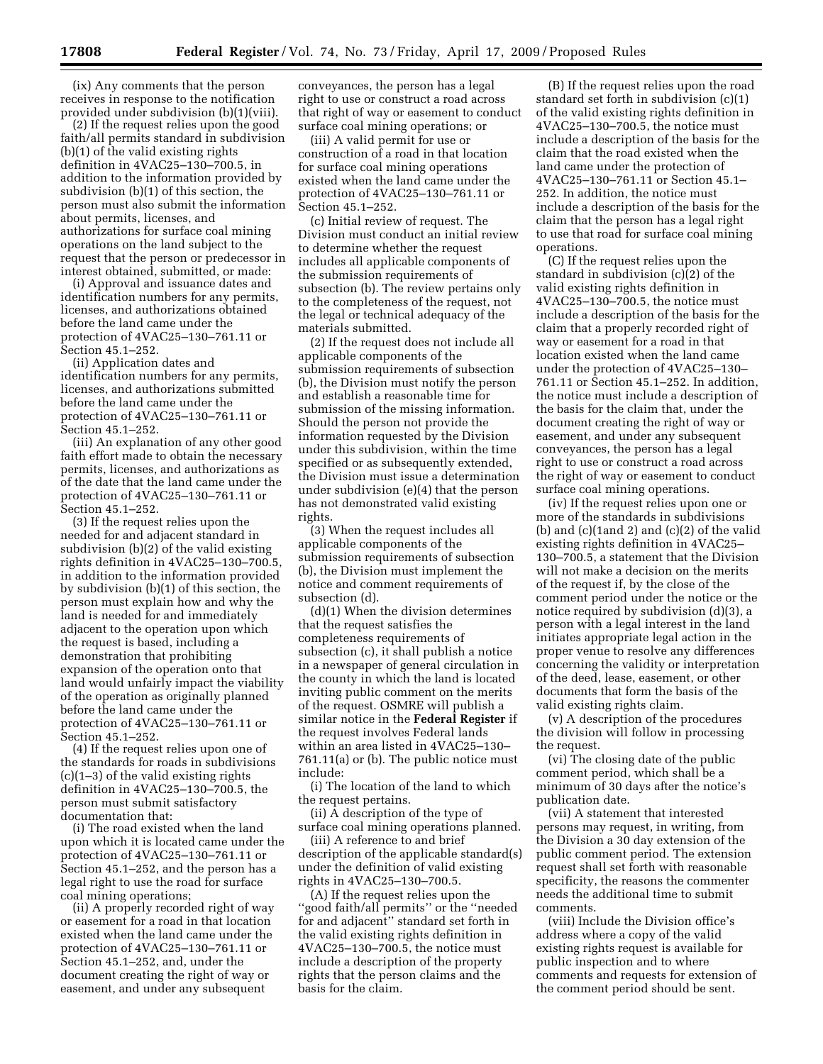(ix) Any comments that the person receives in response to the notification provided under subdivision (b)(1)(viii).

(2) If the request relies upon the good faith/all permits standard in subdivision (b)(1) of the valid existing rights definition in 4VAC25–130–700.5, in addition to the information provided by subdivision (b)(1) of this section, the person must also submit the information about permits, licenses, and authorizations for surface coal mining operations on the land subject to the request that the person or predecessor in interest obtained, submitted, or made:

(i) Approval and issuance dates and identification numbers for any permits, licenses, and authorizations obtained before the land came under the protection of 4VAC25–130–761.11 or Section 45.1–252.

(ii) Application dates and identification numbers for any permits, licenses, and authorizations submitted before the land came under the protection of 4VAC25–130–761.11 or Section 45.1–252.

(iii) An explanation of any other good faith effort made to obtain the necessary permits, licenses, and authorizations as of the date that the land came under the protection of 4VAC25–130–761.11 or Section 45.1–252.

(3) If the request relies upon the needed for and adjacent standard in subdivision (b)(2) of the valid existing rights definition in 4VAC25–130–700.5, in addition to the information provided by subdivision (b)(1) of this section, the person must explain how and why the land is needed for and immediately adjacent to the operation upon which the request is based, including a demonstration that prohibiting expansion of the operation onto that land would unfairly impact the viability of the operation as originally planned before the land came under the protection of 4VAC25–130–761.11 or Section 45.1–252.

(4) If the request relies upon one of the standards for roads in subdivisions (c)(1–3) of the valid existing rights definition in 4VAC25–130–700.5, the person must submit satisfactory documentation that:

(i) The road existed when the land upon which it is located came under the protection of 4VAC25–130–761.11 or Section 45.1–252, and the person has a legal right to use the road for surface coal mining operations;

(ii) A properly recorded right of way or easement for a road in that location existed when the land came under the protection of 4VAC25–130–761.11 or Section 45.1–252, and, under the document creating the right of way or easement, and under any subsequent

conveyances, the person has a legal right to use or construct a road across that right of way or easement to conduct surface coal mining operations; or

(iii) A valid permit for use or construction of a road in that location for surface coal mining operations existed when the land came under the protection of 4VAC25–130–761.11 or Section 45.1–252.

(c) Initial review of request. The Division must conduct an initial review to determine whether the request includes all applicable components of the submission requirements of subsection (b). The review pertains only to the completeness of the request, not the legal or technical adequacy of the materials submitted.

(2) If the request does not include all applicable components of the submission requirements of subsection (b), the Division must notify the person and establish a reasonable time for submission of the missing information. Should the person not provide the information requested by the Division under this subdivision, within the time specified or as subsequently extended, the Division must issue a determination under subdivision (e)(4) that the person has not demonstrated valid existing rights.

(3) When the request includes all applicable components of the submission requirements of subsection (b), the Division must implement the notice and comment requirements of subsection (d).

(d)(1) When the division determines that the request satisfies the completeness requirements of subsection (c), it shall publish a notice in a newspaper of general circulation in the county in which the land is located inviting public comment on the merits of the request. OSMRE will publish a similar notice in the **Federal Register** if the request involves Federal lands within an area listed in 4VAC25–130– 761.11(a) or (b). The public notice must include:

(i) The location of the land to which the request pertains.

(ii) A description of the type of surface coal mining operations planned.

(iii) A reference to and brief description of the applicable standard(s) under the definition of valid existing rights in 4VAC25–130–700.5.

(A) If the request relies upon the ''good faith/all permits'' or the ''needed for and adjacent'' standard set forth in the valid existing rights definition in 4VAC25–130–700.5, the notice must include a description of the property rights that the person claims and the basis for the claim.

(B) If the request relies upon the road standard set forth in subdivision (c)(1) of the valid existing rights definition in 4VAC25–130–700.5, the notice must include a description of the basis for the claim that the road existed when the land came under the protection of 4VAC25–130–761.11 or Section 45.1– 252. In addition, the notice must include a description of the basis for the claim that the person has a legal right to use that road for surface coal mining operations.

(C) If the request relies upon the standard in subdivision (c)(2) of the valid existing rights definition in 4VAC25–130–700.5, the notice must include a description of the basis for the claim that a properly recorded right of way or easement for a road in that location existed when the land came under the protection of 4VAC25–130– 761.11 or Section 45.1–252. In addition, the notice must include a description of the basis for the claim that, under the document creating the right of way or easement, and under any subsequent conveyances, the person has a legal right to use or construct a road across the right of way or easement to conduct surface coal mining operations.

(iv) If the request relies upon one or more of the standards in subdivisions (b) and  $(c)(1 \text{ and } 2)$  and  $(c)(2)$  of the valid existing rights definition in 4VAC25– 130–700.5, a statement that the Division will not make a decision on the merits of the request if, by the close of the comment period under the notice or the notice required by subdivision (d)(3), a person with a legal interest in the land initiates appropriate legal action in the proper venue to resolve any differences concerning the validity or interpretation of the deed, lease, easement, or other documents that form the basis of the valid existing rights claim.

(v) A description of the procedures the division will follow in processing the request.

(vi) The closing date of the public comment period, which shall be a minimum of 30 days after the notice's publication date.

(vii) A statement that interested persons may request, in writing, from the Division a 30 day extension of the public comment period. The extension request shall set forth with reasonable specificity, the reasons the commenter needs the additional time to submit comments.

(viii) Include the Division office's address where a copy of the valid existing rights request is available for public inspection and to where comments and requests for extension of the comment period should be sent.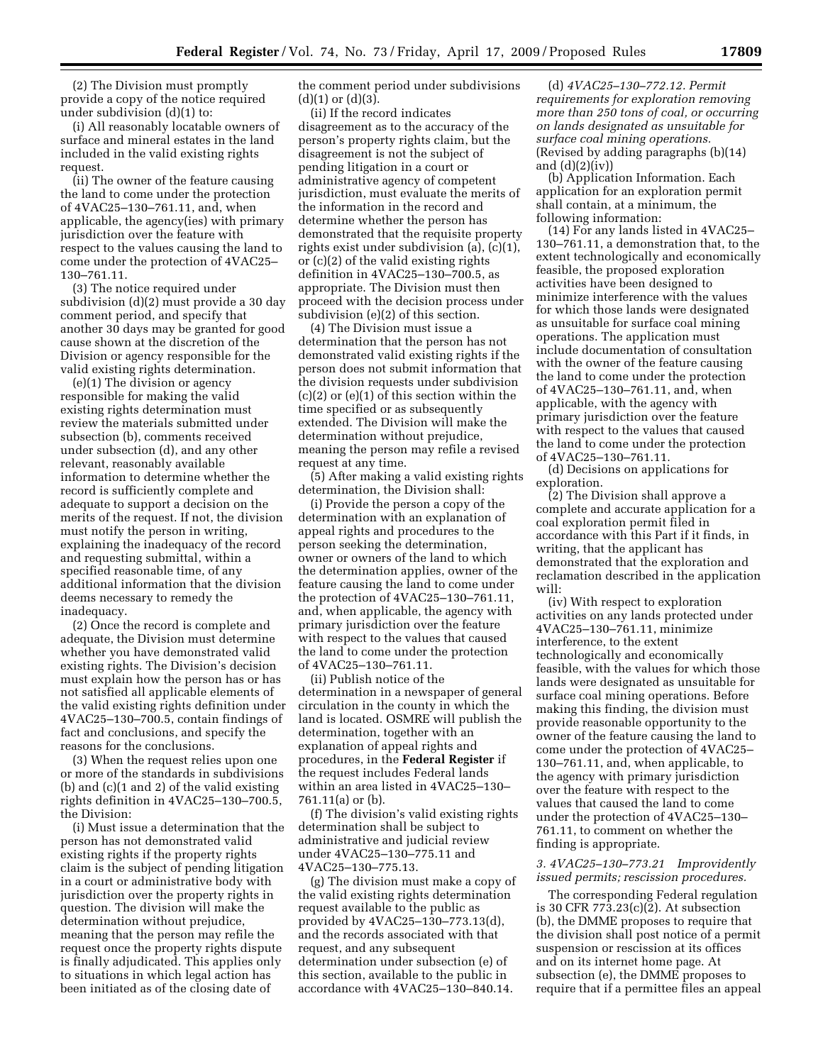(2) The Division must promptly provide a copy of the notice required under subdivision (d)(1) to:

(i) All reasonably locatable owners of surface and mineral estates in the land included in the valid existing rights request.

(ii) The owner of the feature causing the land to come under the protection of 4VAC25–130–761.11, and, when applicable, the agency(ies) with primary jurisdiction over the feature with respect to the values causing the land to come under the protection of 4VAC25– 130–761.11.

(3) The notice required under subdivision (d)(2) must provide a 30 day comment period, and specify that another 30 days may be granted for good cause shown at the discretion of the Division or agency responsible for the valid existing rights determination.

(e)(1) The division or agency responsible for making the valid existing rights determination must review the materials submitted under subsection (b), comments received under subsection (d), and any other relevant, reasonably available information to determine whether the record is sufficiently complete and adequate to support a decision on the merits of the request. If not, the division must notify the person in writing, explaining the inadequacy of the record and requesting submittal, within a specified reasonable time, of any additional information that the division deems necessary to remedy the inadequacy.

(2) Once the record is complete and adequate, the Division must determine whether you have demonstrated valid existing rights. The Division's decision must explain how the person has or has not satisfied all applicable elements of the valid existing rights definition under 4VAC25–130–700.5, contain findings of fact and conclusions, and specify the reasons for the conclusions.

(3) When the request relies upon one or more of the standards in subdivisions (b) and (c)(1 and 2) of the valid existing rights definition in 4VAC25–130–700.5, the Division:

(i) Must issue a determination that the person has not demonstrated valid existing rights if the property rights claim is the subject of pending litigation in a court or administrative body with jurisdiction over the property rights in question. The division will make the determination without prejudice, meaning that the person may refile the request once the property rights dispute is finally adjudicated. This applies only to situations in which legal action has been initiated as of the closing date of

the comment period under subdivisions  $(d)(1)$  or  $(d)(3)$ .

(ii) If the record indicates disagreement as to the accuracy of the person's property rights claim, but the disagreement is not the subject of pending litigation in a court or administrative agency of competent jurisdiction, must evaluate the merits of the information in the record and determine whether the person has demonstrated that the requisite property rights exist under subdivision (a), (c)(1), or (c)(2) of the valid existing rights definition in 4VAC25–130–700.5, as appropriate. The Division must then proceed with the decision process under subdivision (e)(2) of this section.

(4) The Division must issue a determination that the person has not demonstrated valid existing rights if the person does not submit information that the division requests under subdivision (c)(2) or (e)(1) of this section within the time specified or as subsequently extended. The Division will make the determination without prejudice, meaning the person may refile a revised request at any time.

(5) After making a valid existing rights determination, the Division shall:

(i) Provide the person a copy of the determination with an explanation of appeal rights and procedures to the person seeking the determination, owner or owners of the land to which the determination applies, owner of the feature causing the land to come under the protection of 4VAC25–130–761.11, and, when applicable, the agency with primary jurisdiction over the feature with respect to the values that caused the land to come under the protection of 4VAC25–130–761.11.

(ii) Publish notice of the determination in a newspaper of general circulation in the county in which the land is located. OSMRE will publish the determination, together with an explanation of appeal rights and procedures, in the **Federal Register** if the request includes Federal lands within an area listed in 4VAC25–130– 761.11(a) or (b).

(f) The division's valid existing rights determination shall be subject to administrative and judicial review under 4VAC25–130–775.11 and 4VAC25–130–775.13.

(g) The division must make a copy of the valid existing rights determination request available to the public as provided by 4VAC25–130–773.13(d), and the records associated with that request, and any subsequent determination under subsection (e) of this section, available to the public in accordance with 4VAC25–130–840.14.

(d) *4VAC25–130–772.12. Permit requirements for exploration removing more than 250 tons of coal, or occurring on lands designated as unsuitable for surface coal mining operations.*  (Revised by adding paragraphs (b)(14) and  $(d)(2)(iv)$ 

(b) Application Information. Each application for an exploration permit shall contain, at a minimum, the following information:

(14) For any lands listed in 4VAC25– 130–761.11, a demonstration that, to the extent technologically and economically feasible, the proposed exploration activities have been designed to minimize interference with the values for which those lands were designated as unsuitable for surface coal mining operations. The application must include documentation of consultation with the owner of the feature causing the land to come under the protection of 4VAC25–130–761.11, and, when applicable, with the agency with primary jurisdiction over the feature with respect to the values that caused the land to come under the protection of 4VAC25–130–761.11.

(d) Decisions on applications for exploration.

(2) The Division shall approve a complete and accurate application for a coal exploration permit filed in accordance with this Part if it finds, in writing, that the applicant has demonstrated that the exploration and reclamation described in the application will:

(iv) With respect to exploration activities on any lands protected under 4VAC25–130–761.11, minimize interference, to the extent technologically and economically feasible, with the values for which those lands were designated as unsuitable for surface coal mining operations. Before making this finding, the division must provide reasonable opportunity to the owner of the feature causing the land to come under the protection of 4VAC25– 130–761.11, and, when applicable, to the agency with primary jurisdiction over the feature with respect to the values that caused the land to come under the protection of 4VAC25–130– 761.11, to comment on whether the finding is appropriate.

## *3. 4VAC25–130–773.21 Improvidently issued permits; rescission procedures.*

The corresponding Federal regulation is 30 CFR 773.23(c)(2). At subsection (b), the DMME proposes to require that the division shall post notice of a permit suspension or rescission at its offices and on its internet home page. At subsection (e), the DMME proposes to require that if a permittee files an appeal